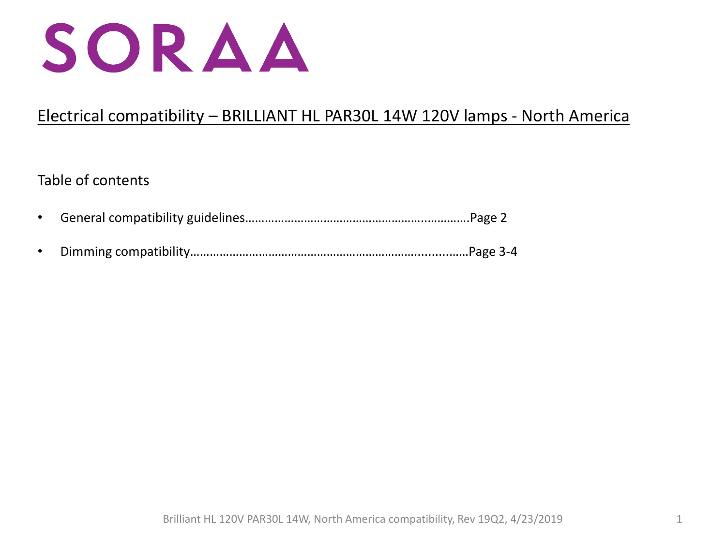

# Electrical compatibility – BRILLIANT HL PAR30L 14W 120V lamps - North America

# Table of contents

- General compatibility guidelines………………………………………………..………….Page 2
- Dimming compatibility……………………………………………………………..........……Page 3-4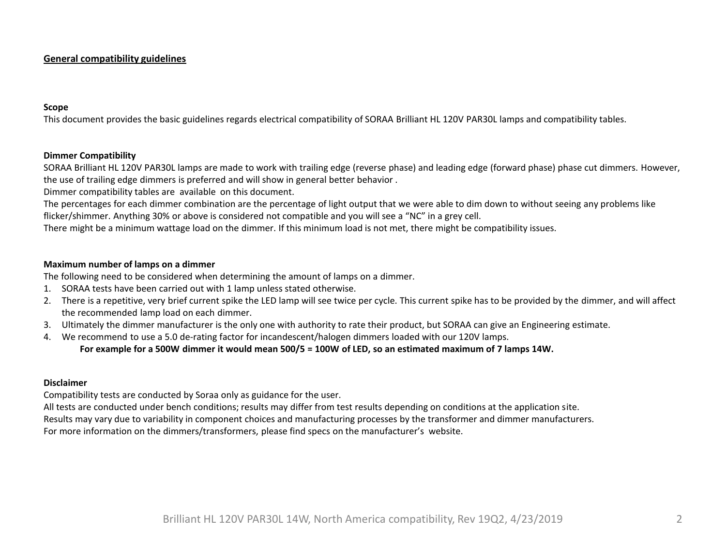### **General compatibility guidelines**

#### **Scope**

This document provides the basic guidelines regards electrical compatibility of SORAA Brilliant HL 120V PAR30L lamps and compatibility tables.

#### **Dimmer Compatibility**

SORAA Brilliant HL 120V PAR30L lamps are made to work with trailing edge (reverse phase) and leading edge (forward phase) phase cut dimmers. However, the use of trailing edge dimmers is preferred and will show in general better behavior .

Dimmer compatibility tables are available on this document.

The percentages for each dimmer combination are the percentage of light output that we were able to dim down to without seeing any problems like flicker/shimmer. Anything 30% or above is considered not compatible and you will see a "NC" in a grey cell.

There might be a minimum wattage load on the dimmer. If this minimum load is not met, there might be compatibility issues.

#### **Maximum number of lamps on a dimmer**

The following need to be considered when determining the amount of lamps on a dimmer.

- 1. SORAA tests have been carried out with 1 lamp unless stated otherwise.
- 2. There is a repetitive, very brief current spike the LED lamp will see twice per cycle. This current spike has to be provided by the dimmer, and will affect the recommended lamp load on each dimmer.
- 3. Ultimately the dimmer manufacturer is the only one with authority to rate their product, but SORAA can give an Engineering estimate.
- 4. We recommend to use a 5.0 de-rating factor for incandescent/halogen dimmers loaded with our 120V lamps.

#### **For example for a 500W dimmer it would mean 500/5 = 100W of LED, so an estimated maximum of 7 lamps 14W.**

### **Disclaimer**

Compatibility tests are conducted by Soraa only as guidance for the user.

All tests are conducted under bench conditions; results may differ from test results depending on conditions at the application site.

Results may vary due to variability in component choices and manufacturing processes by the transformer and dimmer manufacturers.

For more information on the dimmers/transformers, please find specs on the manufacturer's website.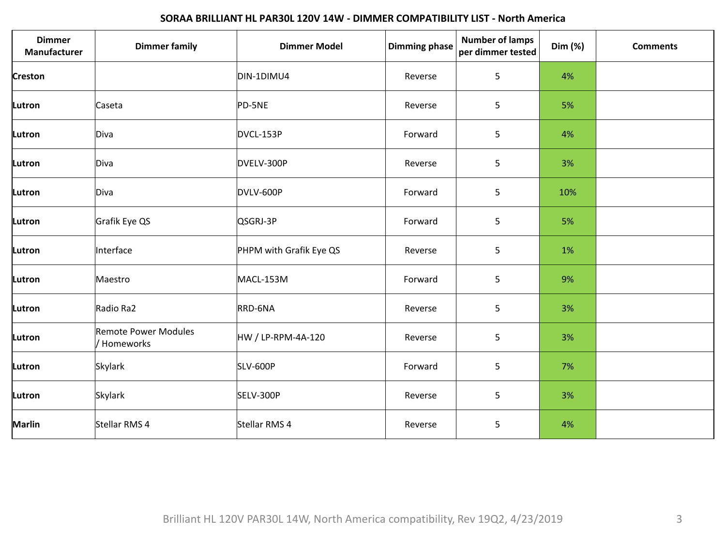## **SORAA BRILLIANT HL PAR30L 120V 14W - DIMMER COMPATIBILITY LIST - North America**

| <b>Dimmer</b><br>Manufacturer | <b>Dimmer family</b>                | <b>Dimmer Model</b>     | <b>Dimming phase</b> | <b>Number of lamps</b><br>per dimmer tested | Dim (%) | <b>Comments</b> |
|-------------------------------|-------------------------------------|-------------------------|----------------------|---------------------------------------------|---------|-----------------|
| Creston                       |                                     | DIN-1DIMU4              | Reverse              | 5                                           | 4%      |                 |
| Lutron                        | Caseta                              | PD-5NE                  | Reverse              | 5                                           | 5%      |                 |
| Lutron                        | Diva                                | DVCL-153P               | Forward              | 5                                           | 4%      |                 |
| Lutron                        | Diva                                | DVELV-300P              | Reverse              | 5                                           | 3%      |                 |
| Lutron                        | Diva                                | DVLV-600P               | Forward              | 5                                           | 10%     |                 |
| Lutron                        | Grafik Eye QS                       | QSGRJ-3P                | Forward              | 5                                           | 5%      |                 |
| Lutron                        | Interface                           | PHPM with Grafik Eye QS | Reverse              | 5                                           | 1%      |                 |
| Lutron                        | Maestro                             | MACL-153M               | Forward              | 5                                           | 9%      |                 |
| Lutron                        | Radio Ra2                           | RRD-6NA                 | Reverse              | 5                                           | 3%      |                 |
| Lutron                        | Remote Power Modules<br>/ Homeworks | HW / LP-RPM-4A-120      | Reverse              | 5                                           | 3%      |                 |
| Lutron                        | Skylark                             | <b>SLV-600P</b>         | Forward              | 5                                           | 7%      |                 |
| Lutron                        | Skylark                             | SELV-300P               | Reverse              | 5                                           | 3%      |                 |
| Marlin                        | Stellar RMS 4                       | Stellar RMS 4           | Reverse              | 5                                           | 4%      |                 |